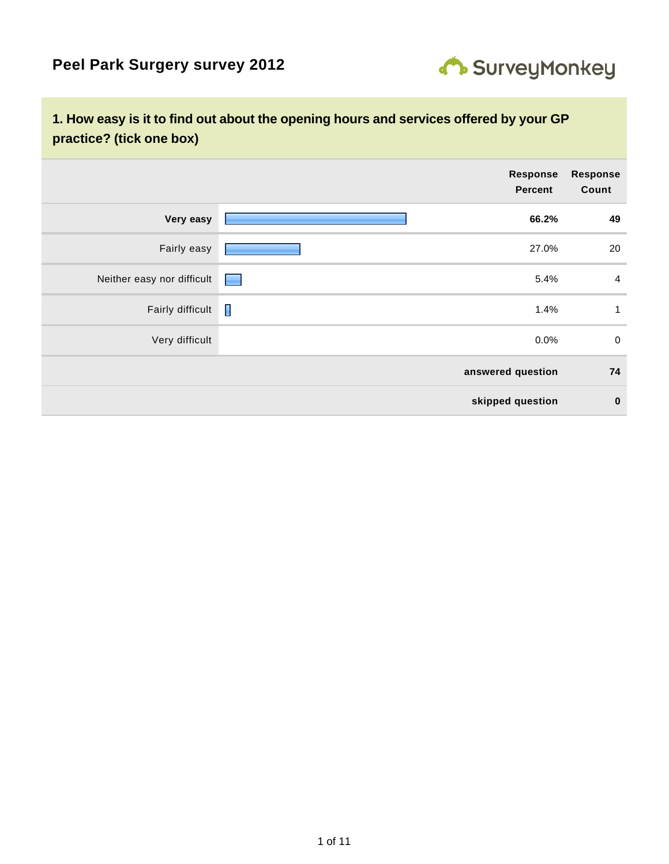

### **1. How easy is it to find out about the opening hours and services offered by your GP practice? (tick one box)**

|                            |                                                                                                                                                                                                                                | Response<br><b>Percent</b> | <b>Response</b><br>Count |
|----------------------------|--------------------------------------------------------------------------------------------------------------------------------------------------------------------------------------------------------------------------------|----------------------------|--------------------------|
| Very easy                  |                                                                                                                                                                                                                                | 66.2%                      | 49                       |
| Fairly easy                |                                                                                                                                                                                                                                | 27.0%                      | 20                       |
| Neither easy nor difficult | e en la partie de la partie de la partie de la partie de la partie de la partie de la partie de la partie de la partie de la partie de la partie de la partie de la partie de la partie de la partie de la partie de la partie | 5.4%                       | $\overline{a}$           |
| Fairly difficult           | H                                                                                                                                                                                                                              | 1.4%                       | $\mathbf{1}$             |
| Very difficult             |                                                                                                                                                                                                                                | $0.0\%$                    | $\mathbf 0$              |
|                            |                                                                                                                                                                                                                                | answered question          | 74                       |
|                            |                                                                                                                                                                                                                                | skipped question           | $\bf{0}$                 |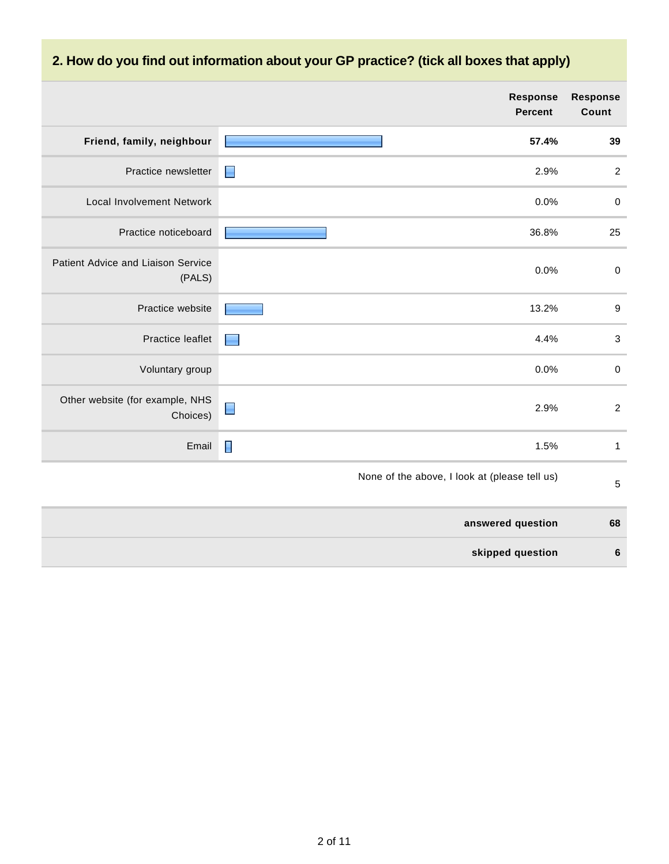# **2. How do you find out information about your GP practice? (tick all boxes that apply)**

|                                              |                | <b>Response</b><br><b>Percent</b>             | <b>Response</b><br>Count |
|----------------------------------------------|----------------|-----------------------------------------------|--------------------------|
| Friend, family, neighbour                    |                | 57.4%                                         | 39                       |
| Practice newsletter                          | $\blacksquare$ | 2.9%                                          | $\boldsymbol{2}$         |
| <b>Local Involvement Network</b>             |                | 0.0%                                          | $\pmb{0}$                |
| Practice noticeboard                         |                | 36.8%                                         | 25                       |
| Patient Advice and Liaison Service<br>(PALS) |                | 0.0%                                          | $\pmb{0}$                |
| Practice website                             |                | 13.2%                                         | $\boldsymbol{9}$         |
| Practice leaflet                             |                | 4.4%                                          | $\sqrt{3}$               |
| Voluntary group                              |                | 0.0%                                          | $\mathbf 0$              |
| Other website (for example, NHS<br>Choices)  | ▉              | 2.9%                                          | $\sqrt{2}$               |
| Email                                        | $\blacksquare$ | 1.5%                                          | $\mathbf{1}$             |
|                                              |                | None of the above, I look at (please tell us) | 5                        |
|                                              |                | answered question                             | 68                       |
|                                              |                | skipped question                              | $\boldsymbol{6}$         |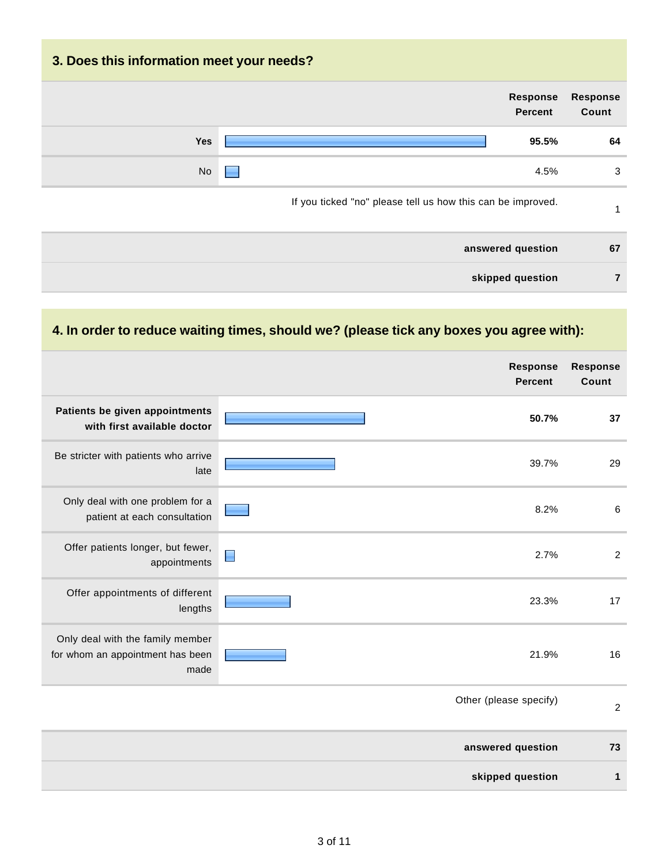# **3. Does this information meet your needs? Response Percent Response Count Yes 95.5% 64** No  $\Box$ If you ticked "no" please tell us how this can be improved. 1 **answered question 67 skipped question 7**

#### **4. In order to reduce waiting times, should we? (please tick any boxes you agree with):**

|                                                                              | <b>Response</b><br><b>Percent</b> | <b>Response</b><br>Count |
|------------------------------------------------------------------------------|-----------------------------------|--------------------------|
| Patients be given appointments<br>with first available doctor                | 50.7%                             | 37                       |
| Be stricter with patients who arrive<br>late                                 | 39.7%                             | 29                       |
| Only deal with one problem for a<br>patient at each consultation             | 8.2%                              | $6\phantom{1}6$          |
| Offer patients longer, but fewer,<br>appointments                            | 2.7%<br>Π                         | $\overline{c}$           |
| Offer appointments of different<br>lengths                                   | 23.3%                             | 17                       |
| Only deal with the family member<br>for whom an appointment has been<br>made | 21.9%                             | 16                       |
|                                                                              | Other (please specify)            | $\sqrt{2}$               |
|                                                                              | answered question                 | 73                       |
|                                                                              | skipped question                  | 1                        |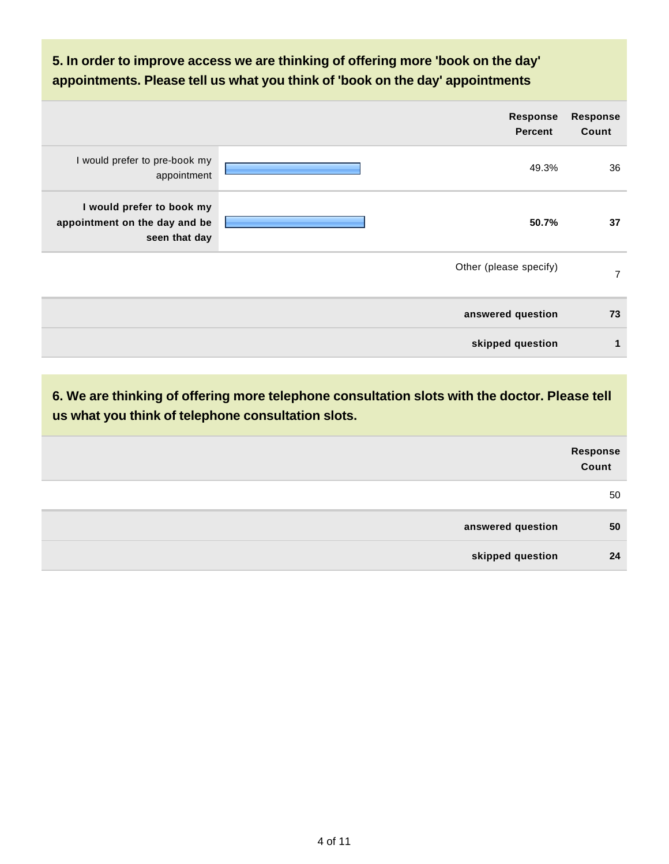### **5. In order to improve access we are thinking of offering more 'book on the day' appointments. Please tell us what you think of 'book on the day' appointments**

|                                                                             | <b>Response</b><br><b>Percent</b> | <b>Response</b><br>Count |
|-----------------------------------------------------------------------------|-----------------------------------|--------------------------|
| I would prefer to pre-book my<br>appointment                                | 49.3%                             | 36                       |
| I would prefer to book my<br>appointment on the day and be<br>seen that day | 50.7%                             | 37                       |
|                                                                             | Other (please specify)            | $\overline{7}$           |
|                                                                             | answered question                 | 73                       |
|                                                                             | skipped question                  | $\mathbf{1}$             |

**6. We are thinking of offering more telephone consultation slots with the doctor. Please tell us what you think of telephone consultation slots.**

|                   | Response<br>Count |
|-------------------|-------------------|
|                   | 50                |
| answered question | 50                |
| skipped question  | 24                |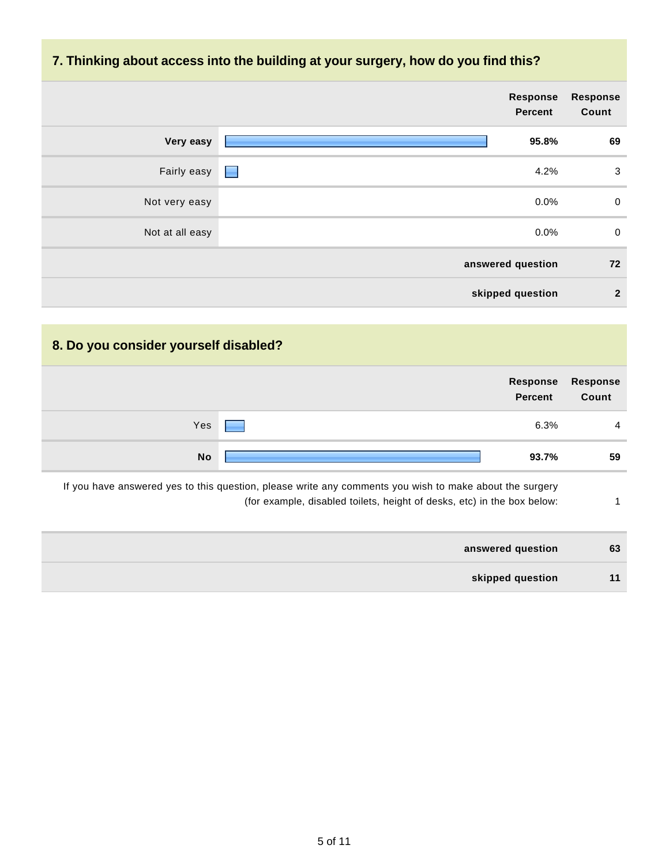#### **7. Thinking about access into the building at your surgery, how do you find this?**

|                 | Response<br><b>Percent</b>   | <b>Response</b><br>Count |
|-----------------|------------------------------|--------------------------|
| Very easy       | 95.8%                        | 69                       |
| Fairly easy     | 4.2%<br><b>Single Street</b> | $\mathbf{3}$             |
| Not very easy   | $0.0\%$                      | $\mathbf 0$              |
| Not at all easy | 0.0%                         | $\mathbf 0$              |
|                 | answered question            | 72                       |
|                 | skipped question             | $\overline{2}$           |

## **8. Do you consider yourself disabled?**

|           | Percent Count | Response Response |
|-----------|---------------|-------------------|
| Yes       | 6.3%          | 4                 |
| <b>No</b> | 93.7%         | 59                |

If you have answered yes to this question, please write any comments you wish to make about the surgery (for example, disabled toilets, height of desks, etc) in the box below: 1

| answered question | 63 |
|-------------------|----|
| skipped question  | 11 |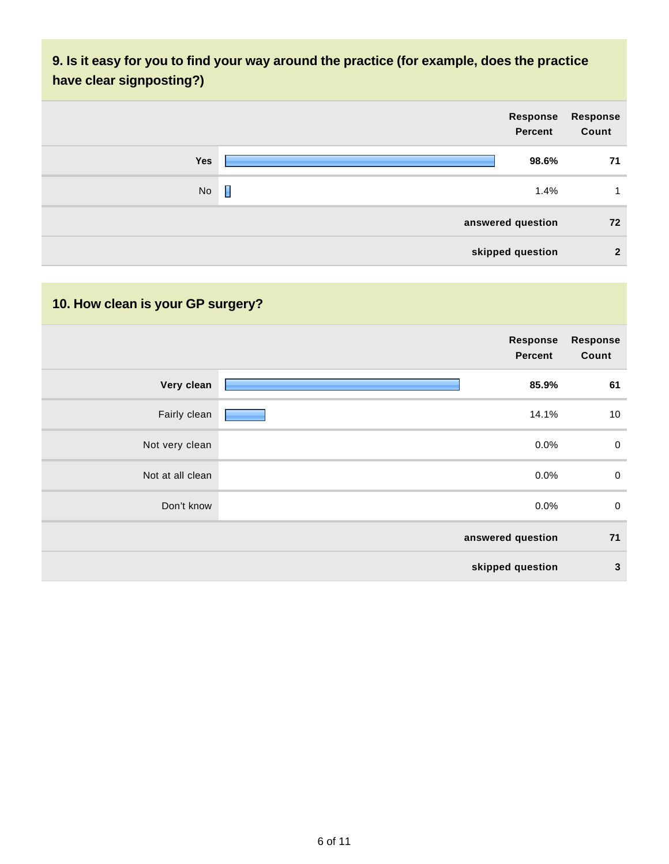### **9. Is it easy for you to find your way around the practice (for example, does the practice have clear signposting?)**



## **10. How clean is your GP surgery?**

|                  | Response<br><b>Percent</b> | <b>Response</b><br>Count |
|------------------|----------------------------|--------------------------|
| Very clean       | 85.9%                      | 61                       |
| Fairly clean     | 14.1%                      | 10                       |
| Not very clean   | 0.0%                       | $\mathbf 0$              |
| Not at all clean | $0.0\%$                    | $\mathbf 0$              |
| Don't know       | $0.0\%$                    | $\mathbf 0$              |
|                  | answered question          | 71                       |
|                  | skipped question           | $\mathbf{3}$             |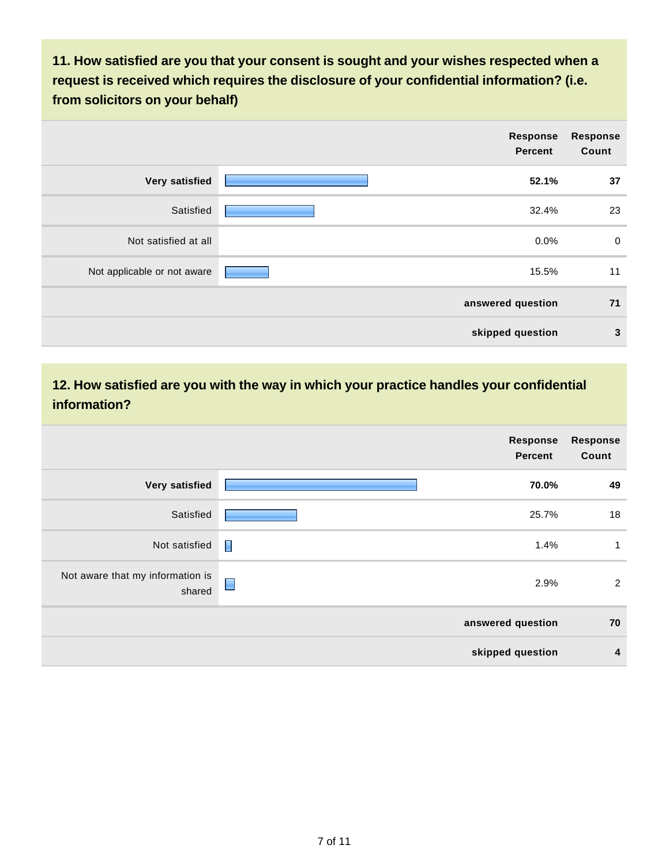**11. How satisfied are you that your consent is sought and your wishes respected when a request is received which requires the disclosure of your confidential information? (i.e. from solicitors on your behalf)**

|                             | <b>Response</b><br><b>Percent</b> | <b>Response</b><br>Count |
|-----------------------------|-----------------------------------|--------------------------|
| Very satisfied              | 52.1%                             | 37                       |
| Satisfied                   | 32.4%                             | 23                       |
| Not satisfied at all        | 0.0%                              | $\mathbf 0$              |
| Not applicable or not aware | 15.5%                             | 11                       |
|                             | answered question                 | 71                       |
|                             | skipped question                  | $\mathbf{3}$             |

### **12. How satisfied are you with the way in which your practice handles your confidential information?**

|                                            |                | Response<br><b>Percent</b> | <b>Response</b><br>Count |
|--------------------------------------------|----------------|----------------------------|--------------------------|
| <b>Very satisfied</b>                      |                | 70.0%                      | 49                       |
| Satisfied                                  |                | 25.7%                      | 18                       |
| Not satisfied                              | Π              | 1.4%                       | 1                        |
| Not aware that my information is<br>shared | $\blacksquare$ | 2.9%                       | $\overline{2}$           |
|                                            |                | answered question          | 70                       |
|                                            |                | skipped question           | 4                        |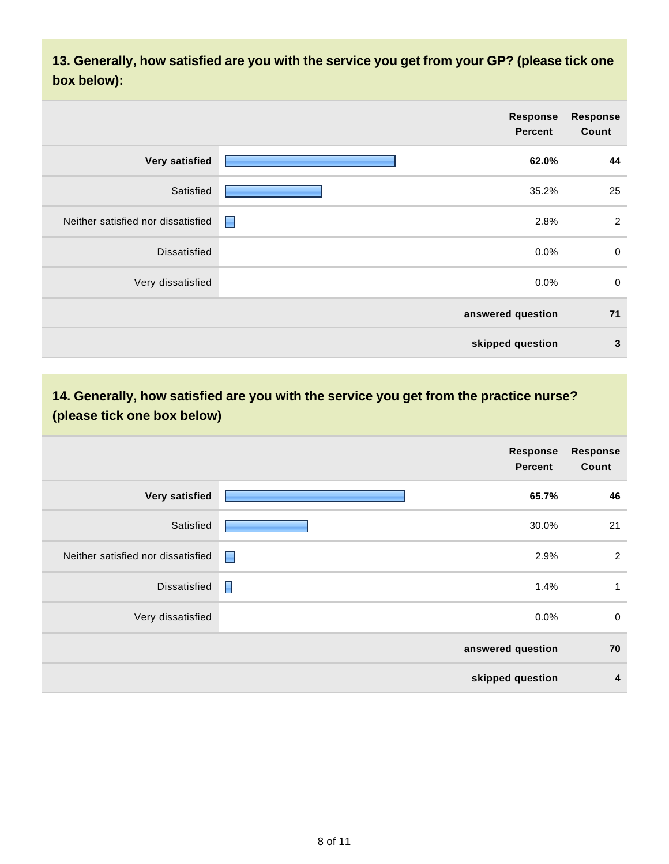**13. Generally, how satisfied are you with the service you get from your GP? (please tick one box below):**

|                                    |                | Response<br><b>Percent</b> | <b>Response</b><br>Count |
|------------------------------------|----------------|----------------------------|--------------------------|
| Very satisfied                     |                | 62.0%                      | 44                       |
| Satisfied                          |                | 35.2%                      | 25                       |
| Neither satisfied nor dissatisfied | $\blacksquare$ | 2.8%                       | $\overline{2}$           |
| <b>Dissatisfied</b>                |                | $0.0\%$                    | $\mathbf 0$              |
| Very dissatisfied                  |                | $0.0\%$                    | $\mathbf 0$              |
|                                    |                | answered question          | 71                       |
|                                    |                | skipped question           | $\mathbf{3}$             |

### **14. Generally, how satisfied are you with the service you get from the practice nurse? (please tick one box below)**

|                                    | Response<br><b>Percent</b> | <b>Response</b><br>Count |
|------------------------------------|----------------------------|--------------------------|
| Very satisfied                     | 65.7%                      | 46                       |
| Satisfied                          | 30.0%                      | 21                       |
| Neither satisfied nor dissatisfied | 2.9%<br>E                  | 2                        |
| <b>Dissatisfied</b>                | $\blacksquare$<br>1.4%     | 1                        |
| Very dissatisfied                  | 0.0%                       | $\mathbf 0$              |
|                                    | answered question          | 70                       |
|                                    | skipped question           | 4                        |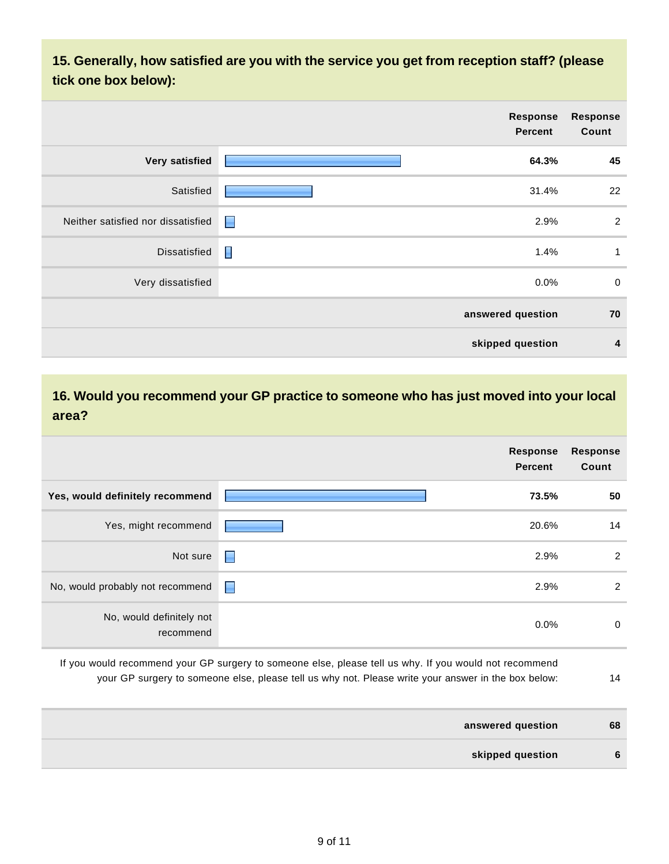**15. Generally, how satisfied are you with the service you get from reception staff? (please tick one box below):**

|                                    |                | Response<br><b>Percent</b> | <b>Response</b><br>Count |
|------------------------------------|----------------|----------------------------|--------------------------|
| Very satisfied                     |                | 64.3%                      | 45                       |
| Satisfied                          |                | 31.4%                      | 22                       |
| Neither satisfied nor dissatisfied | $\blacksquare$ | 2.9%                       | $\overline{2}$           |
| Dissatisfied                       | Γ              | 1.4%                       | $\mathbf{1}$             |
| Very dissatisfied                  |                | $0.0\%$                    | $\mathbf 0$              |
|                                    |                | answered question          | 70                       |
|                                    |                | skipped question           | 4                        |

#### **16. Would you recommend your GP practice to someone who has just moved into your local area?**

|                                       |   | <b>Response</b><br><b>Percent</b> | <b>Response</b><br>Count |
|---------------------------------------|---|-----------------------------------|--------------------------|
| Yes, would definitely recommend       |   | 73.5%                             | 50                       |
| Yes, might recommend                  |   | 20.6%                             | 14                       |
| Not sure                              | E | 2.9%                              | $\overline{2}$           |
| No, would probably not recommend      | E | 2.9%                              | 2                        |
| No, would definitely not<br>recommend |   | $0.0\%$                           | $\mathbf 0$              |

- If you would recommend your GP surgery to someone else, please tell us why. If you would not recommend your GP surgery to someone else, please tell us why not. Please write your answer in the box below: 14
- **answered question 68 skipped question 6**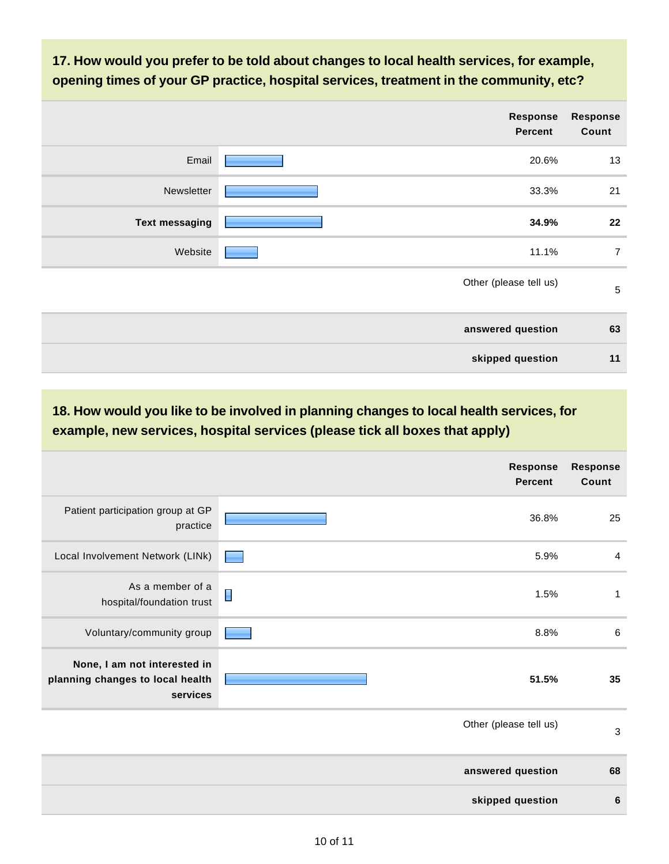**17. How would you prefer to be told about changes to local health services, for example, opening times of your GP practice, hospital services, treatment in the community, etc?**

|                       | <b>Response</b><br><b>Percent</b> | <b>Response</b><br>Count |
|-----------------------|-----------------------------------|--------------------------|
| Email                 | 20.6%                             | 13                       |
| Newsletter            | 33.3%                             | 21                       |
| <b>Text messaging</b> | 34.9%                             | 22                       |
| Website               | 11.1%                             | $\overline{7}$           |
|                       | Other (please tell us)            | $\sqrt{5}$               |
|                       | answered question                 | 63                       |
|                       | skipped question                  | 11                       |

**18. How would you like to be involved in planning changes to local health services, for example, new services, hospital services (please tick all boxes that apply)**

|                                                                              | Response<br><b>Percent</b> | <b>Response</b><br>Count |
|------------------------------------------------------------------------------|----------------------------|--------------------------|
| Patient participation group at GP<br>practice                                | 36.8%                      | 25                       |
| Local Involvement Network (LINk)                                             | 5.9%                       | 4                        |
| As a member of a<br>hospital/foundation trust                                | E<br>1.5%                  | 1                        |
| Voluntary/community group                                                    | 8.8%                       | 6                        |
| None, I am not interested in<br>planning changes to local health<br>services | 51.5%                      | 35                       |
|                                                                              | Other (please tell us)     | 3                        |
|                                                                              | answered question          | 68                       |
|                                                                              | skipped question           | 6                        |